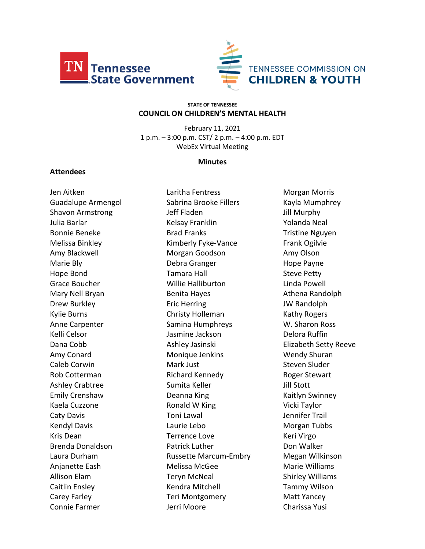



#### **STATE OF TENNESSEE COUNCIL ON CHILDREN'S MENTAL HEALTH**

February 11, 2021 1 p.m. – 3:00 p.m. CST/ 2 p.m. – 4:00 p.m. EDT WebEx Virtual Meeting

### **Minutes**

### **Attendees**

Jen Aitken Guadalupe Armengol Shavon Armstrong Julia Barlar Bonnie Beneke Melissa Binkley Amy Blackwell Marie Bly Hope Bond Grace Boucher Mary Nell Bryan Drew Burkley Kylie Burns Anne Carpenter Kelli Celsor Dana Cobb Amy Conard Caleb Corwin Rob Cotterman Ashley Crabtree Emily Crenshaw Kaela Cuzzone Caty Davis Kendyl Davis Kris Dean Brenda Donaldson Laura Durham Anjanette Eash Allison Elam Caitlin Ensley Carey Farley Connie Farmer

Laritha Fentress Sabrina Brooke Fillers Jeff Fladen Kelsay Franklin Brad Franks Kimberly Fyke-Vance Morgan Goodson Debra Granger Tamara Hall Willie Halliburton Benita Hayes Eric Herring Christy Holleman Samina Humphreys Jasmine Jackson Ashley Jasinski Monique Jenkins Mark Just Richard Kennedy Sumita Keller Deanna King Ronald W King Toni Lawal Laurie Lebo Terrence Love Patrick Luther Russette Marcum-Embry Melissa McGee Teryn McNeal Kendra Mitchell Teri Montgomery Jerri Moore

Morgan Morris Kayla Mumphrey Jill Murphy Yolanda Neal Tristine Nguyen Frank Ogilvie Amy Olson Hope Payne Steve Petty Linda Powell Athena Randolph JW Randolph Kathy Rogers W. Sharon Ross Delora Ruffin Elizabeth Setty Reeve Wendy Shuran Steven Sluder Roger Stewart Jill Stott Kaitlyn Swinney Vicki Taylor Jennifer Trail Morgan Tubbs Keri Virgo Don Walker Megan Wilkinson Marie Williams Shirley Williams Tammy Wilson Matt Yancey Charissa Yusi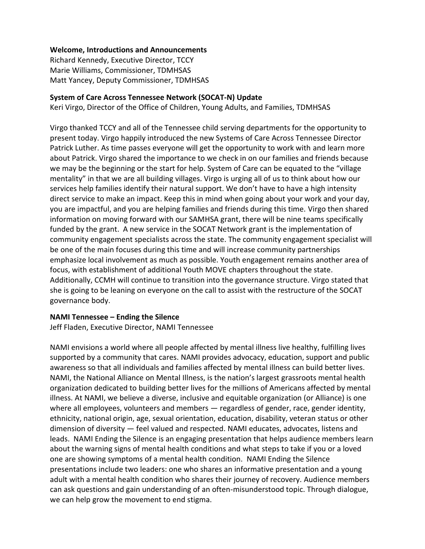## **Welcome, Introductions and Announcements**

Richard Kennedy, Executive Director, TCCY Marie Williams, Commissioner, TDMHSAS Matt Yancey, Deputy Commissioner, TDMHSAS

## **System of Care Across Tennessee Network (SOCAT-N) Update**

Keri Virgo, Director of the Office of Children, Young Adults, and Families, TDMHSAS

Virgo thanked TCCY and all of the Tennessee child serving departments for the opportunity to present today. Virgo happily introduced the new Systems of Care Across Tennessee Director Patrick Luther. As time passes everyone will get the opportunity to work with and learn more about Patrick. Virgo shared the importance to we check in on our families and friends because we may be the beginning or the start for help. System of Care can be equated to the "village mentality" in that we are all building villages. Virgo is urging all of us to think about how our services help families identify their natural support. We don't have to have a high intensity direct service to make an impact. Keep this in mind when going about your work and your day, you are impactful, and you are helping families and friends during this time. Virgo then shared information on moving forward with our SAMHSA grant, there will be nine teams specifically funded by the grant. A new service in the SOCAT Network grant is the implementation of community engagement specialists across the state. The community engagement specialist will be one of the main focuses during this time and will increase community partnerships emphasize local involvement as much as possible. Youth engagement remains another area of focus, with establishment of additional Youth MOVE chapters throughout the state. Additionally, CCMH will continue to transition into the governance structure. Virgo stated that she is going to be leaning on everyone on the call to assist with the restructure of the SOCAT governance body.

### **NAMI Tennessee – Ending the Silence**

Jeff Fladen, Executive Director, NAMI Tennessee

NAMI envisions a world where all people affected by mental illness live healthy, fulfilling lives supported by a community that cares. NAMI provides advocacy, education, support and public awareness so that all individuals and families affected by mental illness can build better lives. NAMI, the National Alliance on Mental Illness, is the nation's largest grassroots mental health organization dedicated to building better lives for the millions of Americans affected by mental illness. At NAMI, we believe a diverse, inclusive and equitable organization (or Alliance) is one where all employees, volunteers and members — regardless of gender, race, gender identity, ethnicity, national origin, age, sexual orientation, education, disability, veteran status or other dimension of diversity — feel valued and respected. NAMI educates, advocates, listens and leads. NAMI Ending the Silence is an engaging presentation that helps audience members learn about the warning signs of mental health conditions and what steps to take if you or a loved one are showing symptoms of a mental health condition. NAMI Ending the Silence presentations include two leaders: one who shares an informative presentation and a young adult with a mental health condition who shares their journey of recovery. Audience members can ask questions and gain understanding of an often-misunderstood topic. Through dialogue, we can help grow the movement to end stigma.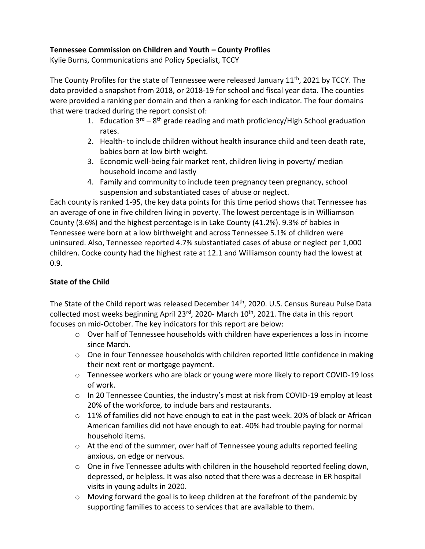# **Tennessee Commission on Children and Youth – County Profiles**

Kylie Burns, Communications and Policy Specialist, TCCY

The County Profiles for the state of Tennessee were released January 11<sup>th</sup>, 2021 by TCCY. The data provided a snapshot from 2018, or 2018-19 for school and fiscal year data. The counties were provided a ranking per domain and then a ranking for each indicator. The four domains that were tracked during the report consist of:

- 1. Education  $3^{rd} 8^{th}$  grade reading and math proficiency/High School graduation rates.
- 2. Health- to include children without health insurance child and teen death rate, babies born at low birth weight.
- 3. Economic well-being fair market rent, children living in poverty/ median household income and lastly
- 4. Family and community to include teen pregnancy teen pregnancy, school suspension and substantiated cases of abuse or neglect.

Each county is ranked 1-95, the key data points for this time period shows that Tennessee has an average of one in five children living in poverty. The lowest percentage is in Williamson County (3.6%) and the highest percentage is in Lake County (41.2%). 9.3% of babies in Tennessee were born at a low birthweight and across Tennessee 5.1% of children were uninsured. Also, Tennessee reported 4.7% substantiated cases of abuse or neglect per 1,000 children. Cocke county had the highest rate at 12.1 and Williamson county had the lowest at 0.9.

# **State of the Child**

The State of the Child report was released December 14<sup>th</sup>, 2020. U.S. Census Bureau Pulse Data collected most weeks beginning April 23<sup>rd</sup>, 2020- March 10<sup>th</sup>, 2021. The data in this report focuses on mid-October. The key indicators for this report are below:

- $\circ$  Over half of Tennessee households with children have experiences a loss in income since March.
- o One in four Tennessee households with children reported little confidence in making their next rent or mortgage payment.
- o Tennessee workers who are black or young were more likely to report COVID-19 loss of work.
- $\circ$  In 20 Tennessee Counties, the industry's most at risk from COVID-19 employ at least 20% of the workforce, to include bars and restaurants.
- o 11% of families did not have enough to eat in the past week. 20% of black or African American families did not have enough to eat. 40% had trouble paying for normal household items.
- o At the end of the summer, over half of Tennessee young adults reported feeling anxious, on edge or nervous.
- $\circ$  One in five Tennessee adults with children in the household reported feeling down, depressed, or helpless. It was also noted that there was a decrease in ER hospital visits in young adults in 2020.
- $\circ$  Moving forward the goal is to keep children at the forefront of the pandemic by supporting families to access to services that are available to them.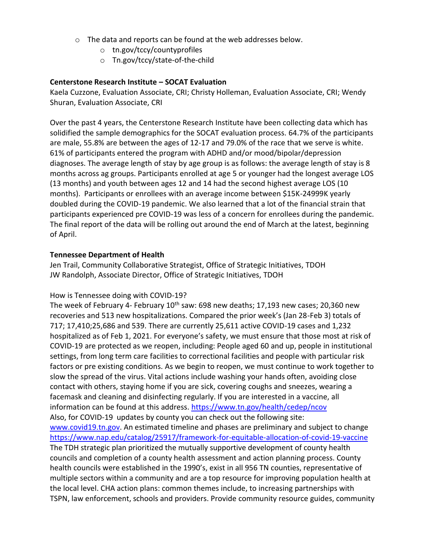- o The data and reports can be found at the web addresses below.
	- o tn.gov/tccy/countyprofiles
	- o Tn.gov/tccy/state-of-the-child

## **Centerstone Research Institute – SOCAT Evaluation**

Kaela Cuzzone, Evaluation Associate, CRI; Christy Holleman, Evaluation Associate, CRI; Wendy Shuran, Evaluation Associate, CRI

Over the past 4 years, the Centerstone Research Institute have been collecting data which has solidified the sample demographics for the SOCAT evaluation process. 64.7% of the participants are male, 55.8% are between the ages of 12-17 and 79.0% of the race that we serve is white. 61% of participants entered the program with ADHD and/or mood/bipolar/depression diagnoses. The average length of stay by age group is as follows: the average length of stay is 8 months across ag groups. Participants enrolled at age 5 or younger had the longest average LOS (13 months) and youth between ages 12 and 14 had the second highest average LOS (10 months). Participants or enrollees with an average income between \$15K-24999K yearly doubled during the COVID-19 pandemic. We also learned that a lot of the financial strain that participants experienced pre COVID-19 was less of a concern for enrollees during the pandemic. The final report of the data will be rolling out around the end of March at the latest, beginning of April.

## **Tennessee Department of Health**

Jen Trail, Community Collaborative Strategist, Office of Strategic Initiatives, TDOH JW Randolph, Associate Director, Office of Strategic Initiatives, TDOH

# How is Tennessee doing with COVID-19?

The week of February 4- February 10<sup>th</sup> saw: 698 new deaths; 17,193 new cases; 20,360 new recoveries and 513 new hospitalizations. Compared the prior week's (Jan 28-Feb 3) totals of 717; 17,410;25,686 and 539. There are currently 25,611 active COVID-19 cases and 1,232 hospitalized as of Feb 1, 2021. For everyone's safety, we must ensure that those most at risk of COVID-19 are protected as we reopen, including: People aged 60 and up, people in institutional settings, from long term care facilities to correctional facilities and people with particular risk factors or pre existing conditions. As we begin to reopen, we must continue to work together to slow the spread of the virus. Vital actions include washing your hands often, avoiding close contact with others, staying home if you are sick, covering coughs and sneezes, wearing a facemask and cleaning and disinfecting regularly. If you are interested in a vaccine, all information can be found at this address.<https://www.tn.gov/health/cedep/ncov> Also, for COVID-19 updates by county you can check out the following site: [www.covid19.tn.gov.](http://www.covid19.tn.gov/) An estimated timeline and phases are preliminary and subject to change <https://www.nap.edu/catalog/25917/framework-for-equitable-allocation-of-covid-19-vaccine> The TDH strategic plan prioritized the mutually supportive development of county health councils and completion of a county health assessment and action planning process. County health councils were established in the 1990's, exist in all 956 TN counties, representative of multiple sectors within a community and are a top resource for improving population health at the local level. CHA action plans: common themes include, to increasing partnerships with TSPN, law enforcement, schools and providers. Provide community resource guides, community